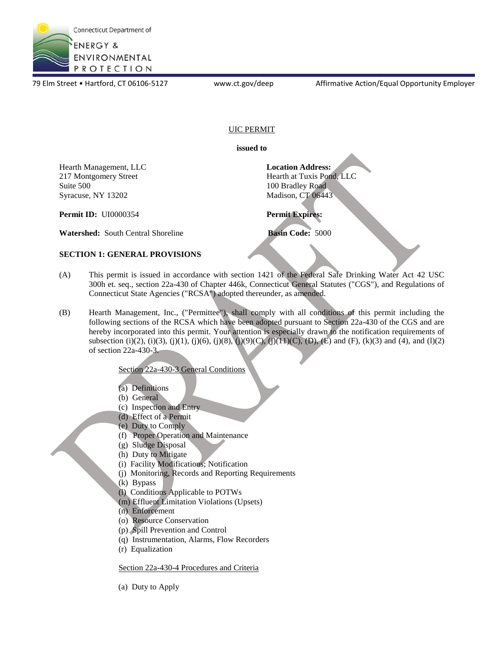

79 Elm Street • Hartford, CT 06106-5127 www.ct.gov/deep Affirmative Action/Equal Opportunity Employer

## UIC PERMIT

**issued to** 

Hearth Management, LLC 217 Montgomery Street Suite 500 Syracuse, NY 13202 Hearth Management, LLC<br>
217 Montgomery Street Suite 500<br>
Syracuse, NY 13202<br>
Syracuse, NY 13202<br>
Addison, CT 06443

**Permit ID:** UI0000354 **Permit Expires:** 

Hearth at Tuxis Pond, LLC 100 Bradley Road Madison, CT 06443

**Watershed:** South Central Shoreline **Basin Code:** 5000

## **SECTION 1: GENERAL PROVISIONS**

- (A) This permit is issued in accordance with section 1421 of the Federal Safe Drinking Water Act 42 USC 300h et. seq., section 22a-430 of Chapter 446k, Connecticut General Statutes ("CGS"), and Regulations of Connecticut State Agencies ("RCSA") adopted thereunder, as amended.
- (B) Hearth Management, Inc., ("Permittee"), shall comply with all conditions of this permit including the following sections of the RCSA which have been adopted pursuant to Section 22a-430 of the CGS and are hereby incorporated into this permit. Your attention is especially drawn to the notification requirements of subsection (i)(2), (i)(3), (j)(1), (j)(6), (j)(8), (j)(9)(C), (j)(11)(C), (D), (E) and (F), (k)(3) and (4), and (l)(2) of section 22a-430-3.

## Section 22a-430-3 General Conditions

- (a) Definitions
- (b) General
- (c) Inspection and Entry
- (d) Effect of a Permit
- (e) Duty to Comply
- (f) Proper Operation and Maintenance
- (g) Sludge Disposal
- (h) Duty to Mitigate
- (i) Facility Modifications; Notification
- (j) Monitoring, Records and Reporting Requirements
- (k) Bypass
- (l) Conditions Applicable to POTWs
- (m) Effluent Limitation Violations (Upsets)
- (n) Enforcement
- (o) Resource Conservation
- (p) Spill Prevention and Control
- (q) Instrumentation, Alarms, Flow Recorders
- (r) Equalization

Section 22a-430-4 Procedures and Criteria

(a) Duty to Apply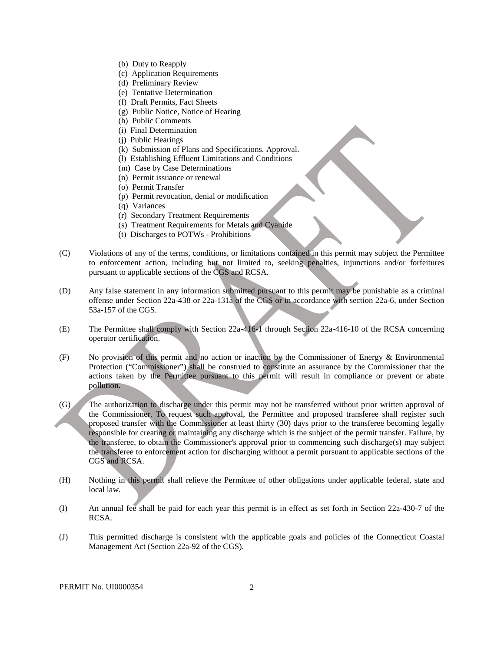- (b) Duty to Reapply
- (c) Application Requirements
- (d) Preliminary Review
- (e) Tentative Determination
- (f) Draft Permits, Fact Sheets
- (g) Public Notice, Notice of Hearing
- (h) Public Comments
- (i) Final Determination
- (j) Public Hearings
- (k) Submission of Plans and Specifications. Approval.
- (l) Establishing Effluent Limitations and Conditions
- (m) Case by Case Determinations
- (n) Permit issuance or renewal
- (o) Permit Transfer
- (p) Permit revocation, denial or modification
- (q) Variances
- (r) Secondary Treatment Requirements
- (s) Treatment Requirements for Metals and Cyanide
- (t) Discharges to POTWs Prohibitions
- (C) Violations of any of the terms, conditions, or limitations contained in this permit may subject the Permittee to enforcement action, including but not limited to, seeking penalties, injunctions and/or forfeitures pursuant to applicable sections of the CGS and RCSA.
- (D) Any false statement in any information submitted pursuant to this permit may be punishable as a criminal offense under Section 22a-438 or 22a-131a of the CGS or in accordance with section 22a-6, under Section 53a-157 of the CGS.
- (E) The Permittee shall comply with Section 22a-416-1 through Section 22a-416-10 of the RCSA concerning operator certification.
- (F) No provision of this permit and no action or inaction by the Commissioner of Energy & Environmental Protection ("Commissioner") shall be construed to constitute an assurance by the Commissioner that the actions taken by the Permittee pursuant to this permit will result in compliance or prevent or abate pollution.
- (G) The authorization to discharge under this permit may not be transferred without prior written approval of the Commissioner. To request such approval, the Permittee and proposed transferee shall register such proposed transfer with the Commissioner at least thirty (30) days prior to the transferee becoming legally responsible for creating or maintaining any discharge which is the subject of the permit transfer. Failure, by the transferee, to obtain the Commissioner's approval prior to commencing such discharge(s) may subject the transferee to enforcement action for discharging without a permit pursuant to applicable sections of the CGS and RCSA.
- (H) Nothing in this permit shall relieve the Permittee of other obligations under applicable federal, state and local law.
- (I) An annual fee shall be paid for each year this permit is in effect as set forth in Section 22a-430-7 of the RCSA.
- (J) This permitted discharge is consistent with the applicable goals and policies of the Connecticut Coastal Management Act (Section 22a-92 of the CGS).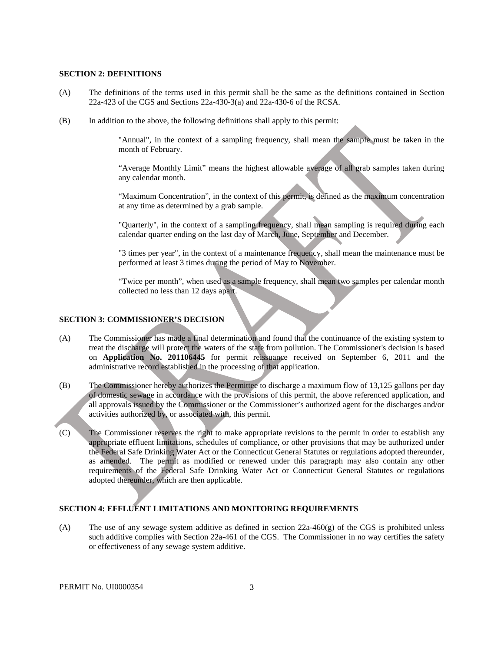#### **SECTION 2: DEFINITIONS**

- (A) The definitions of the terms used in this permit shall be the same as the definitions contained in Section 22a-423 of the CGS and Sections 22a-430-3(a) and 22a-430-6 of the RCSA.
- (B) In addition to the above, the following definitions shall apply to this permit:

 "Annual", in the context of a sampling frequency, shall mean the sample must be taken in the month of February.

"Average Monthly Limit" means the highest allowable average of all grab samples taken during any calendar month.

 "Maximum Concentration", in the context of this permit, is defined as the maximum concentration at any time as determined by a grab sample.

 "Quarterly", in the context of a sampling frequency, shall mean sampling is required during each calendar quarter ending on the last day of March, June, September and December.

 "3 times per year", in the context of a maintenance frequency, shall mean the maintenance must be performed at least 3 times during the period of May to November.

 "Twice per month", when used as a sample frequency, shall mean two samples per calendar month collected no less than 12 days apart.

### **SECTION 3: COMMISSIONER'S DECISION**

- (A) The Commissioner has made a final determination and found that the continuance of the existing system to treat the discharge will protect the waters of the state from pollution. The Commissioner's decision is based on **Application No. 201106445** for permit reissuance received on September 6, 2011 and the administrative record established in the processing of that application.
- all approvals issued by the Commissioner or the Commissioner's authorized agent for the discharges and/or (B) The Commissioner hereby authorizes the Permittee to discharge a maximum flow of 13,125 gallons per day of domestic sewage in accordance with the provisions of this permit, the above referenced application, and activities authorized by, or associated with, this permit.
- as amended. The permit as modified or renewed under this paragraph may also contain any other (C) The Commissioner reserves the right to make appropriate revisions to the permit in order to establish any appropriate effluent limitations, schedules of compliance, or other provisions that may be authorized under the Federal Safe Drinking Water Act or the Connecticut General Statutes or regulations adopted thereunder, requirements of the Federal Safe Drinking Water Act or Connecticut General Statutes or regulations adopted thereunder, which are then applicable.

## **SECTION 4: EFFLUENT LIMITATIONS AND MONITORING REQUIREMENTS**

 such additive complies with Section 22a-461 of the CGS. The Commissioner in no way certifies the safety (A) The use of any sewage system additive as defined in section  $22a-460(g)$  of the CGS is prohibited unless or effectiveness of any sewage system additive.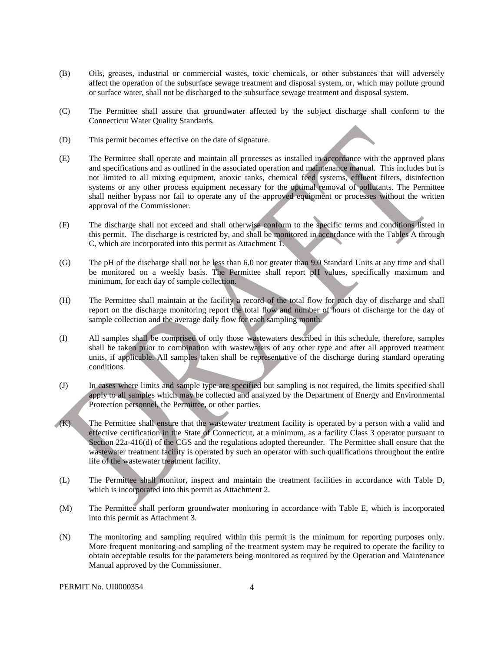- (B) Oils, greases, industrial or commercial wastes, toxic chemicals, or other substances that will adversely affect the operation of the subsurface sewage treatment and disposal system, or, which may pollute ground or surface water, shall not be discharged to the subsurface sewage treatment and disposal system.
- (C) The Permittee shall assure that groundwater affected by the subject discharge shall conform to the Connecticut Water Quality Standards.
- (D) This permit becomes effective on the date of signature.
- (E) The Permittee shall operate and maintain all processes as installed in accordance with the approved plans and specifications and as outlined in the associated operation and maintenance manual. This includes but is not limited to all mixing equipment, anoxic tanks, chemical feed systems, effluent filters, disinfection systems or any other process equipment necessary for the optimal removal of pollutants. The Permittee shall neither bypass nor fail to operate any of the approved equipment or processes without the written approval of the Commissioner.
- (F) The discharge shall not exceed and shall otherwise conform to the specific terms and conditions listed in this permit. The discharge is restricted by, and shall be monitored in accordance with the Tables A through C, which are incorporated into this permit as Attachment 1.
- (G) The pH of the discharge shall not be less than 6.0 nor greater than 9.0 Standard Units at any time and shall be monitored on a weekly basis. The Permittee shall report pH values, specifically maximum and minimum, for each day of sample collection.
- (H) The Permittee shall maintain at the facility a record of the total flow for each day of discharge and shall report on the discharge monitoring report the total flow and number of hours of discharge for the day of sample collection and the average daily flow for each sampling month.
- (I) All samples shall be comprised of only those wastewaters described in this schedule, therefore, samples shall be taken prior to combination with wastewaters of any other type and after all approved treatment units, if applicable. All samples taken shall be representative of the discharge during standard operating conditions.
- (J) In cases where limits and sample type are specified but sampling is not required, the limits specified shall apply to all samples which may be collected and analyzed by the Department of Energy and Environmental Protection personnel, the Permittee, or other parties.
- (K) The Permittee shall ensure that the wastewater treatment facility is operated by a person with a valid and effective certification in the State of Connecticut, at a minimum, as a facility Class 3 operator pursuant to Section 22a-416(d) of the CGS and the regulations adopted thereunder. The Permittee shall ensure that the wastewater treatment facility is operated by such an operator with such qualifications throughout the entire life of the wastewater treatment facility.
- (L) The Permittee shall monitor, inspect and maintain the treatment facilities in accordance with Table D, which is incorporated into this permit as Attachment 2.
- into this permit as Attachment 3. (M) The Permittee shall perform groundwater monitoring in accordance with Table E, which is incorporated
- (N) The monitoring and sampling required within this permit is the minimum for reporting purposes only. More frequent monitoring and sampling of the treatment system may be required to operate the facility to obtain acceptable results for the parameters being monitored as required by the Operation and Maintenance Manual approved by the Commissioner.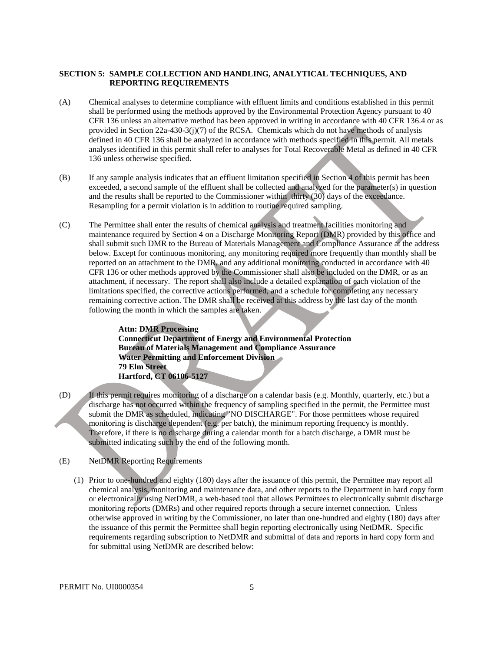#### **SECTION 5: SAMPLE COLLECTION AND HANDLING, ANALYTICAL TECHNIQUES, AND REPORTING REQUIREMENTS**

- (A) Chemical analyses to determine compliance with effluent limits and conditions established in this permit shall be performed using the methods approved by the Environmental Protection Agency pursuant to 40 CFR 136 unless an alternative method has been approved in writing in accordance with 40 CFR 136.4 or as provided in Section 22a-430-3(j)(7) of the RCSA. Chemicals which do not have methods of analysis defined in 40 CFR 136 shall be analyzed in accordance with methods specified in this permit. All metals analyses identified in this permit shall refer to analyses for Total Recoverable Metal as defined in 40 CFR 136 unless otherwise specified.
- (B) If any sample analysis indicates that an effluent limitation specified in Section 4 of this permit has been exceeded, a second sample of the effluent shall be collected and analyzed for the parameter(s) in question and the results shall be reported to the Commissioner within thirty (30) days of the exceedance. Resampling for a permit violation is in addition to routine required sampling.
- (C) The Permittee shall enter the results of chemical analysis and treatment facilities monitoring and maintenance required by Section 4 on a Discharge Monitoring Report (DMR) provided by this office and shall submit such DMR to the Bureau of Materials Management and Compliance Assurance at the address below. Except for continuous monitoring, any monitoring required more frequently than monthly shall be reported on an attachment to the DMR, and any additional monitoring conducted in accordance with 40 CFR 136 or other methods approved by the Commissioner shall also be included on the DMR, or as an attachment, if necessary. The report shall also include a detailed explanation of each violation of the limitations specified, the corrective actions performed, and a schedule for completing any necessary remaining corrective action. The DMR shall be received at this address by the last day of the month following the month in which the samples are taken.

**Attn: DMR Processing Connecticut Department of Energy and Environmental Protection Bureau of Materials Management and Compliance Assurance Water Permitting and Enforcement Division 79 Elm Street Hartford, CT 06106-5127** 

- (D) If this permit requires monitoring of a discharge on a calendar basis (e.g. Monthly, quarterly, etc.) but a discharge has not occurred within the frequency of sampling specified in the permit, the Permittee must submit the DMR as scheduled, indicating "NO DISCHARGE". For those permittees whose required monitoring is discharge dependent (e.g. per batch), the minimum reporting frequency is monthly. Therefore, if there is no discharge during a calendar month for a batch discharge, a DMR must be submitted indicating such by the end of the following month.
- (E) NetDMR Reporting Requirements
	- (1) Prior to one-hundred and eighty (180) days after the issuance of this permit, the Permittee may report all chemical analysis, monitoring and maintenance data, and other reports to the Department in hard copy form or electronically using NetDMR, a web-based tool that allows Permittees to electronically submit discharge monitoring reports (DMRs) and other required reports through a secure internet connection. Unless otherwise approved in writing by the Commissioner, no later than one-hundred and eighty (180) days after the issuance of this permit the Permittee shall begin reporting electronically using NetDMR. Specific requirements regarding subscription to NetDMR and submittal of data and reports in hard copy form and for submittal using NetDMR are described below: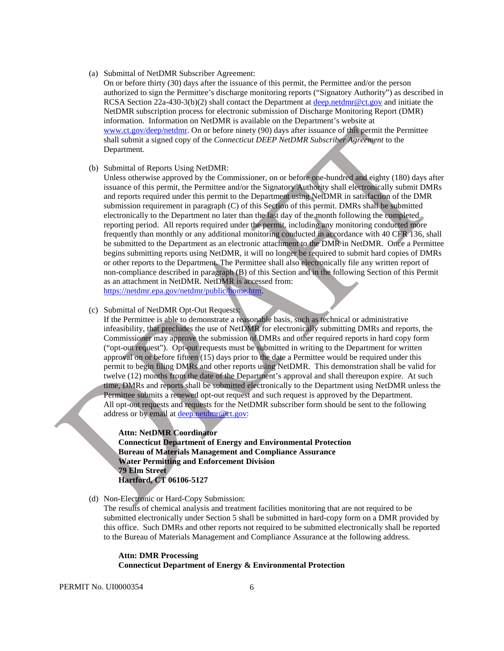(a) Submittal of NetDMR Subscriber Agreement:

 authorized to sign the Permittee's discharge monitoring reports ("Signatory Authority") as described in information. Information on NetDMR is available on the Department's website at On or before thirty (30) days after the issuance of this permit, the Permittee and/or the person RCSA Section 22a-430-3(b)(2) shall contact the Department at [deep.netdmr@ct.gov a](mailto:deep.netdmr@ct.gov)nd initiate the NetDMR subscription process for electronic submission of Discharge Monitoring Report (DMR) [www.ct.gov/deep/netdmr.](https://www.ct.gov/deep/netdmr) On or before ninety (90) days after issuance of this permit the Permittee shall submit a signed copy of the *Connecticut DEEP NetDMR Subscriber Agreement* to the Department*.*

(b) Submittal of Reports Using NetDMR:

 electronically to the Department no later than the last day of the month following the completed or other reports to the Department. The Permittee shall also electronically file any written report of Unless otherwise approved by the Commissioner, on or before one-hundred and eighty (180) days after issuance of this permit, the Permittee and/or the Signatory Authority shall electronically submit DMRs and reports required under this permit to the Department using NetDMR in satisfaction of the DMR submission requirement in paragraph (C) of this Section of this permit. DMRs shall be submitted reporting period. All reports required under the permit, including any monitoring conducted more frequently than monthly or any additional monitoring conducted in accordance with 40 CFR 136, shall be submitted to the Department as an electronic attachment to the DMR in NetDMR. Once a Permittee begins submitting reports using NetDMR, it will no longer be required to submit hard copies of DMRs non-compliance described in paragraph (B) of this Section and in the following Section of this Permit as an attachment in NetDMR. NetDMR is accessed from: [https://netdmr.epa.gov/netdmr/public/home.htm.](https://netdmr.epa.gov/netdmr/public/home.htm)

(c) Submittal of NetDMR Opt-Out Requests:

 Commissioner may approve the submission of DMRs and other required reports in hard copy form approval on or before fifteen (15) days prior to the date a Permittee would be required under this If the Permittee is able to demonstrate a reasonable basis, such as technical or administrative infeasibility, that precludes the use of NetDMR for electronically submitting DMRs and reports, the ("opt-out request"). Opt-out requests must be submitted in writing to the Department for written permit to begin filing DMRs and other reports using NetDMR. This demonstration shall be valid for twelve (12) months from the date of the Department's approval and shall thereupon expire. At such time, DMRs and reports shall be submitted electronically to the Department using NetDMR unless the Permittee submits a renewed opt-out request and such request is approved by the Department. All opt-out requests and requests for the NetDMR subscriber form should be sent to the following address or by email at [deep.netdmr@ct.gov:](mailto:deep.netdmr@ct.gov)

**Attn: NetDMR Coordinator Connecticut Department of Energy and Environmental Protection Bureau of Materials Management and Compliance Assurance Water Permitting and Enforcement Division 79 Elm Street Hartford, CT 06106-5127** 

(d) Non-Electronic or Hard-Copy Submission:

The results of chemical analysis and treatment facilities monitoring that are not required to be submitted electronically under Section 5 shall be submitted in hard-copy form on a DMR provided by this office. Such DMRs and other reports not required to be submitted electronically shall be reported to the Bureau of Materials Management and Compliance Assurance at the following address.

#### **Attn: DMR Processing Connecticut Department of Energy & Environmental Protection**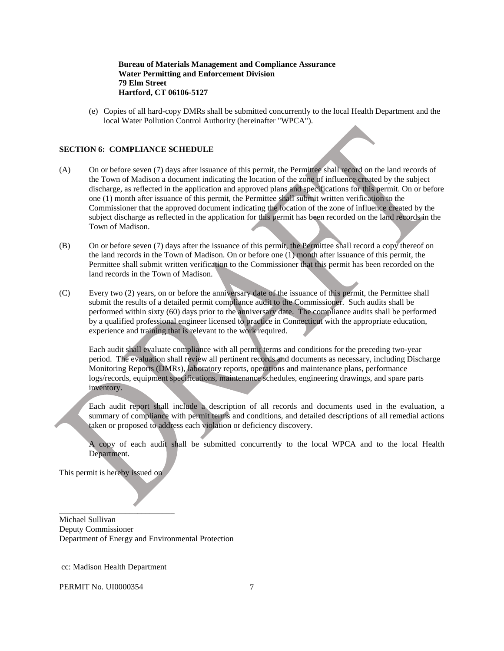#### **Bureau of Materials Management and Compliance Assurance Water Permitting and Enforcement Division 79 Elm Street Hartford, CT 06106-5127**

(e) Copies of all hard-copy DMRs shall be submitted concurrently to the local Health Department and the local Water Pollution Control Authority (hereinafter "WPCA").

#### **SECTION 6: COMPLIANCE SCHEDULE**

- (A) On or before seven (7) days after issuance of this permit, the Permittee shall record on the land records of the Town of Madison a document indicating the location of the zone of influence created by the subject discharge, as reflected in the application and approved plans and specifications for this permit. On or before one (1) month after issuance of this permit, the Permittee shall submit written verification to the Commissioner that the approved document indicating the location of the zone of influence created by the subject discharge as reflected in the application for this permit has been recorded on the land records in the Town of Madison.
- Permittee shall submit written verification to the Commissioner that this permit has been recorded on the (B) On or before seven (7) days after the issuance of this permit, the Permittee shall record a copy thereof on the land records in the Town of Madison. On or before one (1) month after issuance of this permit, the land records in the Town of Madison.
- submit the results of a detailed permit compliance audit to the Commissioner. Such audits shall be performed within sixty (60) days prior to the anniversary date. The compliance audits shall be performed by a qualified professional engineer licensed to practice in Connecticut with the appropriate education, experience and training that is relevant to the work required.  $(C)$ Every two (2) years, on or before the anniversary date of the issuance of this permit, the Permittee shall

 logs/records, equipment specifications, maintenance schedules, engineering drawings, and spare parts Each audit shall evaluate compliance with all permit terms and conditions for the preceding two-year period. The evaluation shall review all pertinent records and documents as necessary, including Discharge Monitoring Reports (DMRs), laboratory reports, operations and maintenance plans, performance inventory.

Each audit report shall include a description of all records and documents used in the evaluation, a summary of compliance with permit terms and conditions, and detailed descriptions of all remedial actions taken or proposed to address each violation or deficiency discovery.

A copy of each audit shall be submitted concurrently to the local WPCA and to the local Health Department.

This permit is hereby issued on

\_\_\_\_\_\_\_\_\_\_\_\_\_\_\_\_\_\_\_\_\_\_\_\_\_\_\_\_

Michael Sullivan Deputy Commissioner Department of Energy and Environmental Protection

cc: Madison Health Department

PERMIT No. UI0000354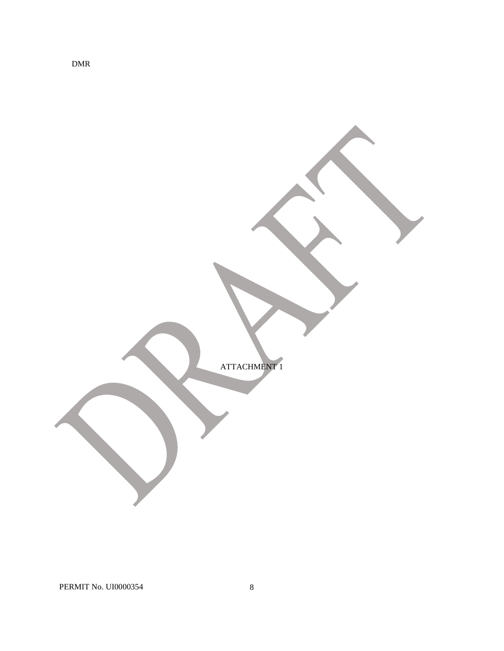ATTACHMENT 1

DMR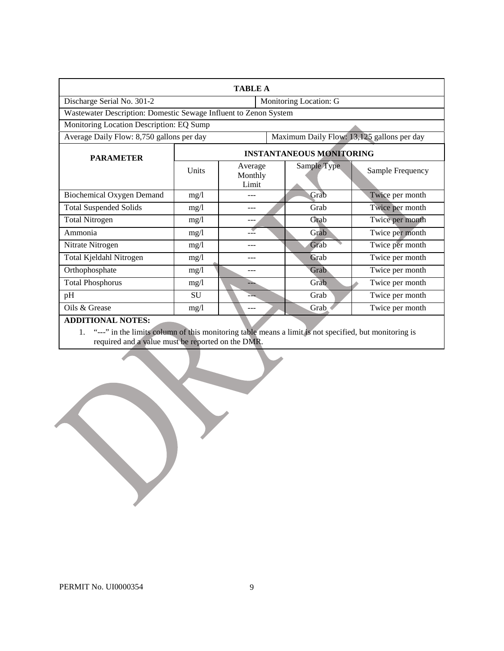| <b>TABLE A</b>                                                                          |                                 |                             |                        |             |                  |  |
|-----------------------------------------------------------------------------------------|---------------------------------|-----------------------------|------------------------|-------------|------------------|--|
| Discharge Serial No. 301-2                                                              |                                 |                             | Monitoring Location: G |             |                  |  |
| Wastewater Description: Domestic Sewage Influent to Zenon System                        |                                 |                             |                        |             |                  |  |
| Monitoring Location Description: EQ Sump                                                |                                 |                             |                        |             |                  |  |
| Maximum Daily Flow: 13,125 gallons per day<br>Average Daily Flow: 8,750 gallons per day |                                 |                             |                        |             |                  |  |
| <b>PARAMETER</b>                                                                        | <b>INSTANTANEOUS MONITORING</b> |                             |                        |             |                  |  |
|                                                                                         | Units                           | Average<br>Monthly<br>Limit |                        | Sample Type | Sample Frequency |  |
| <b>Biochemical Oxygen Demand</b>                                                        | mg/1                            |                             |                        | Grab        | Twice per month  |  |
| <b>Total Suspended Solids</b>                                                           | mg/1                            | ---                         |                        | Grab        | Twice per month  |  |
| <b>Total Nitrogen</b>                                                                   | mg/1                            |                             |                        | Grab        | Twice per month  |  |
| Ammonia                                                                                 | mg/1                            |                             |                        | Grab        | Twice per month  |  |
| Nitrate Nitrogen                                                                        | mg/1                            |                             |                        | Grab        | Twice per month  |  |
| Total Kjeldahl Nitrogen                                                                 | mg/1                            | ---                         |                        | Grab        | Twice per month  |  |
| Orthophosphate                                                                          | mg/1                            | ---                         |                        | Grab        | Twice per month  |  |
| <b>Total Phosphorus</b>                                                                 | mg/1                            | ⊾                           |                        | Grab        | Twice per month  |  |
| pH                                                                                      | SU                              |                             |                        | Grab        | Twice per month  |  |
| Oils & Grease                                                                           | mg/1                            | ---                         |                        | Grab        | Twice per month  |  |
| <b>ADDITIONAL NOTES:</b>                                                                |                                 |                             |                        |             |                  |  |

1. "---" in the limits column of this monitoring table means a limit is not specified, but monitoring is required and a value must be reported on the DMR.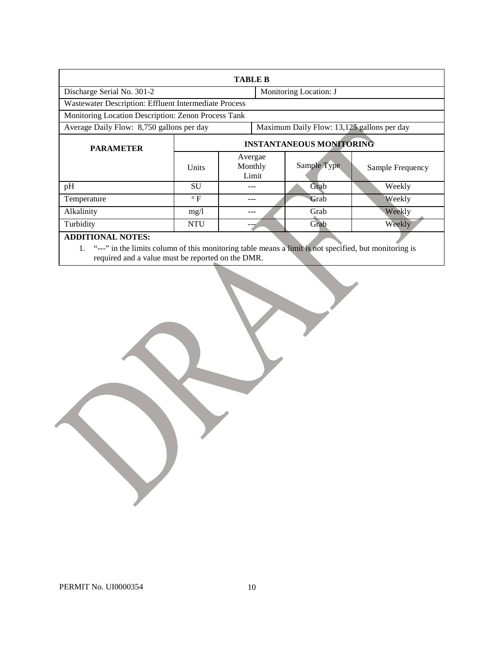| <b>TABLE B</b>                                        |                                            |                             |                        |                  |  |  |
|-------------------------------------------------------|--------------------------------------------|-----------------------------|------------------------|------------------|--|--|
| Discharge Serial No. 301-2                            |                                            |                             | Monitoring Location: J |                  |  |  |
| Wastewater Description: Effluent Intermediate Process |                                            |                             |                        |                  |  |  |
| Monitoring Location Description: Zenon Process Tank   |                                            |                             |                        |                  |  |  |
| Average Daily Flow: 8,750 gallons per day             | Maximum Daily Flow: 13,125 gallons per day |                             |                        |                  |  |  |
| <b>PARAMETER</b>                                      | <b>INSTANTANEOUS MONITORING</b>            |                             |                        |                  |  |  |
|                                                       | Units                                      | Avergae<br>Monthly<br>Limit | Sample Type            | Sample Frequency |  |  |
| pH                                                    | SU                                         |                             | Grab                   | Weekly           |  |  |
| Temperature                                           | $\rm ^{o}$ F                               |                             | Grab                   | Weekly           |  |  |
| Alkalinity                                            | mg/l                                       |                             | Grab                   | Weekly           |  |  |
| Turbidity                                             | <b>NTU</b>                                 |                             | Grab                   | Weekly           |  |  |
| ADDITIONAL NOTES.                                     |                                            |                             |                        |                  |  |  |

**ADDITIONAL NOTES:** 

1. "---" in the limits colum required and a value mu n of this m st be report onitoring table means a limit is not specified, but monitoring is ed on the DMR.

J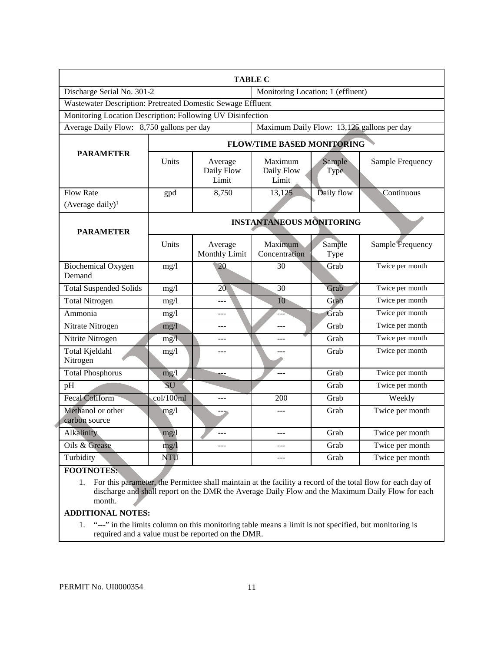|                                                             |                                                                                         |                                | <b>TABLE C</b>                    |                |                  |  |  |
|-------------------------------------------------------------|-----------------------------------------------------------------------------------------|--------------------------------|-----------------------------------|----------------|------------------|--|--|
| Discharge Serial No. 301-2                                  |                                                                                         |                                | Monitoring Location: 1 (effluent) |                |                  |  |  |
| Wastewater Description: Pretreated Domestic Sewage Effluent |                                                                                         |                                |                                   |                |                  |  |  |
| Monitoring Location Description: Following UV Disinfection  |                                                                                         |                                |                                   |                |                  |  |  |
|                                                             | Average Daily Flow: 8,750 gallons per day<br>Maximum Daily Flow: 13,125 gallons per day |                                |                                   |                |                  |  |  |
| <b>PARAMETER</b>                                            | <b>FLOW/TIME BASED MONITORING</b>                                                       |                                |                                   |                |                  |  |  |
|                                                             | Units                                                                                   | Average<br>Daily Flow<br>Limit | Maximum<br>Daily Flow<br>Limit    | Sample<br>Type | Sample Frequency |  |  |
| <b>Flow Rate</b>                                            | gpd                                                                                     | 8,750                          | 13,125                            | Daily flow     | Continuous       |  |  |
| $(Average daily)^1$                                         |                                                                                         |                                |                                   |                |                  |  |  |
| <b>PARAMETER</b>                                            | <b>INSTANTANEOUS MONITORING</b>                                                         |                                |                                   |                |                  |  |  |
|                                                             | Units                                                                                   | Average<br>Monthly Limit       | Maximum<br>Concentration          | Sample<br>Type | Sample Frequency |  |  |
| <b>Biochemical Oxygen</b><br>Demand                         | mg/1                                                                                    | 20                             | 30                                | Grab           | Twice per month  |  |  |
| <b>Total Suspended Solids</b>                               | mg/1                                                                                    | 20                             | $\overline{30}$                   | Grab           | Twice per month  |  |  |
| <b>Total Nitrogen</b>                                       | mg/1                                                                                    | ---                            | 10                                | Grab           | Twice per month  |  |  |
| Ammonia                                                     | mg/l                                                                                    |                                |                                   | Grab           | Twice per month  |  |  |
| Nitrate Nitrogen                                            | mg/1                                                                                    | ---                            | ---                               | Grab           | Twice per month  |  |  |
| Nitrite Nitrogen                                            | mg/l                                                                                    | ---                            | $---$                             | Grab           | Twice per month  |  |  |
| Total Kjeldahl<br>Nitrogen                                  | mg/1                                                                                    |                                |                                   | Grab           | Twice per month  |  |  |
| <b>Total Phosphorus</b>                                     | mg/l                                                                                    |                                |                                   | Grab           | Twice per month  |  |  |
| pH                                                          | SU                                                                                      |                                |                                   | Grab           | Twice per month  |  |  |
| Fecal Coliform                                              | col/100ml                                                                               | ---                            | 200                               | Grab           | Weekly           |  |  |
| Methanol or other<br>carbon source                          | mg/1                                                                                    |                                |                                   | Grab           | Twice per month  |  |  |
| Alkalinity                                                  | mg/1                                                                                    |                                | ---                               | Grab           | Twice per month  |  |  |
| Oils & Grease                                               | mg/1                                                                                    | ---                            | $---$                             | Grab           | Twice per month  |  |  |
| Turbidity                                                   | <b>NTU</b>                                                                              |                                |                                   | Grab           | Twice per month  |  |  |
| <b>EQQTMOTEC.</b>                                           |                                                                                         |                                |                                   |                |                  |  |  |

**FOOTNOTES:** 

 discharge and shall report on the DMR the Average Daily Flow and the Maximum Daily Flow for each month. 1. For this parameter, the Permittee shall maintain at the facility a record of the total flow for each day of

## **ADDITIONAL NOTES:**

1. "---" in the limits column on this monitoring table means a limit is not specified, but monitoring is required and a value must be reported on the DMR.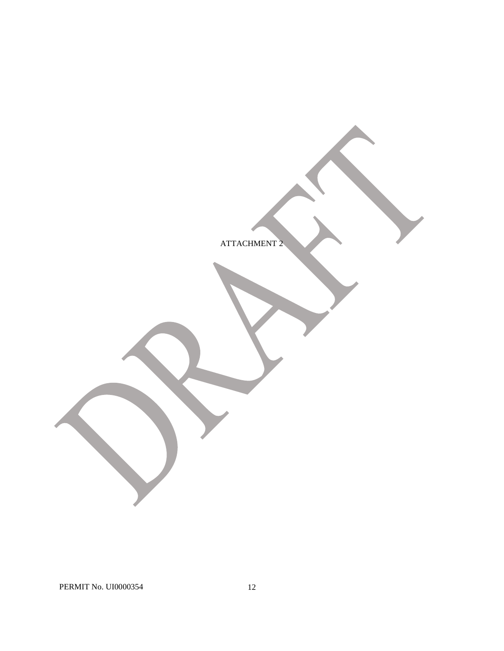ATTACHMENT 2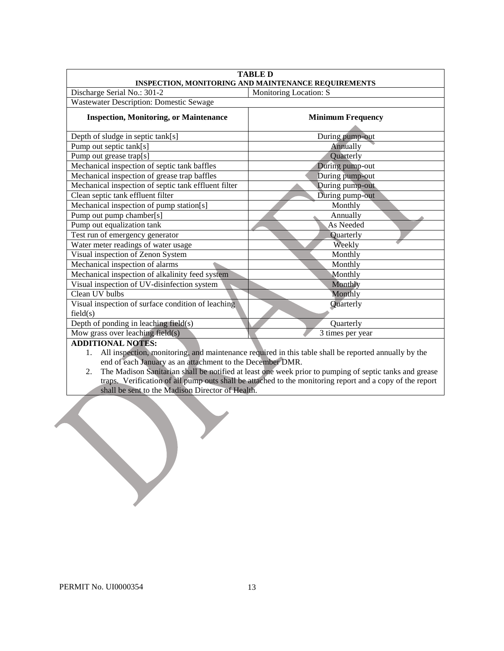| <b>TABLE D</b><br>INSPECTION, MONITORING AND MAINTENANCE REQUIREMENTS |                          |  |  |  |
|-----------------------------------------------------------------------|--------------------------|--|--|--|
| Discharge Serial No.: 301-2                                           | Monitoring Location: S   |  |  |  |
| Wastewater Description: Domestic Sewage                               |                          |  |  |  |
| <b>Inspection, Monitoring, or Maintenance</b>                         | <b>Minimum Frequency</b> |  |  |  |
| Depth of sludge in septic tank[s]                                     | During pump-out          |  |  |  |
| Pump out septic tank[s]                                               | Annually                 |  |  |  |
| Pump out grease trap[s]                                               | Quarterly                |  |  |  |
| Mechanical inspection of septic tank baffles                          | During pump-out          |  |  |  |
| Mechanical inspection of grease trap baffles                          | During pump-out          |  |  |  |
| Mechanical inspection of septic tank effluent filter                  | During pump-out          |  |  |  |
| Clean septic tank effluent filter                                     | During pump-out          |  |  |  |
| Mechanical inspection of pump station[s]                              | Monthly                  |  |  |  |
| Pump out pump chamber[s]                                              | Annually                 |  |  |  |
| Pump out equalization tank                                            | As Needed                |  |  |  |
| Test run of emergency generator                                       | Quarterly                |  |  |  |
| Water meter readings of water usage                                   | Weekly                   |  |  |  |
| Visual inspection of Zenon System                                     | Monthly                  |  |  |  |
| Mechanical inspection of alarms                                       | Monthly                  |  |  |  |
| Mechanical inspection of alkalinity feed system                       | Monthly                  |  |  |  |
| Visual inspection of UV-disinfection system                           | Monthly                  |  |  |  |
| Clean UV bulbs                                                        | Monthly                  |  |  |  |
| Visual inspection of surface condition of leaching                    | Quarterly                |  |  |  |
| field(s)                                                              |                          |  |  |  |
| Depth of ponding in leaching field(s)                                 | Quarterly                |  |  |  |
| Mow grass over leaching field(s)                                      | 3 times per year         |  |  |  |
| A DDITIONAL MOTEC.                                                    |                          |  |  |  |

**ADDITIONAL NOTES:** 

1. All inspection, monitoring, and maintenance required in this table shall be reported annually by the end of each January as an attachment to the December DMR.

2. The Madison Sanitarian shall be notified at least one week prior to pumping of septic tanks and grease traps. Verification of all pump outs shall be attached to the monitoring report and a copy of the report shall be sent to the Madison Director of Health.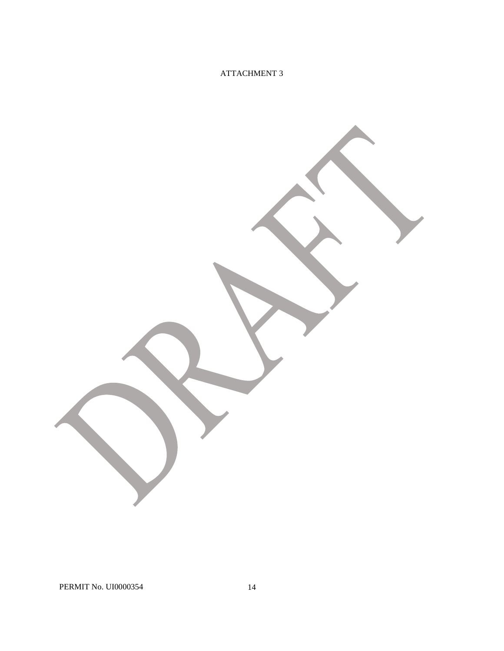## ATTACHMENT 3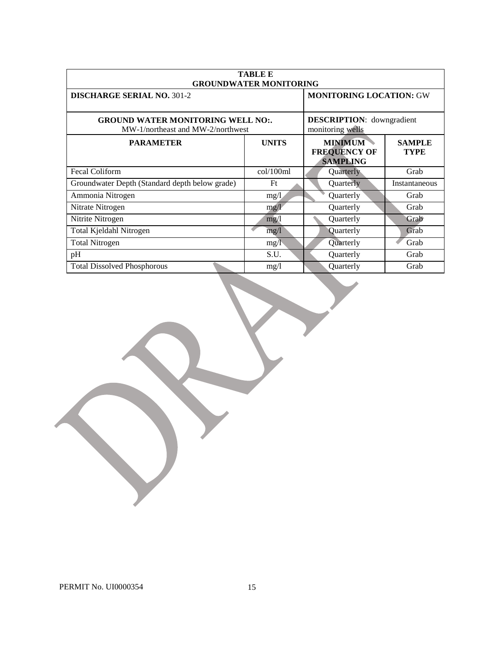| <b>TABLE E</b><br><b>GROUNDWATER MONITORING</b>                               |                                                      |                                                          |                              |  |  |
|-------------------------------------------------------------------------------|------------------------------------------------------|----------------------------------------------------------|------------------------------|--|--|
| <b>DISCHARGE SERIAL NO. 301-2</b>                                             | <b>MONITORING LOCATION: GW</b>                       |                                                          |                              |  |  |
| <b>GROUND WATER MONITORING WELL NO:.</b><br>MW-1/northeast and MW-2/northwest | <b>DESCRIPTION:</b> downgradient<br>monitoring wells |                                                          |                              |  |  |
| <b>PARAMETER</b>                                                              | <b>UNITS</b>                                         | <b>MINIMUM</b><br><b>FREQUENCY OF</b><br><b>SAMPLING</b> | <b>SAMPLE</b><br><b>TYPE</b> |  |  |
| Fecal Coliform                                                                | col/100ml                                            | Quarterly                                                | Grab                         |  |  |
| Groundwater Depth (Standard depth below grade)                                | Ft                                                   | Quarterly                                                | Instantaneous                |  |  |
| Ammonia Nitrogen                                                              | mg/1                                                 | Quarterly                                                | Grab                         |  |  |
| Nitrate Nitrogen                                                              | mg/l                                                 | Quarterly                                                | Grab                         |  |  |
| Nitrite Nitrogen                                                              | mg/1                                                 | Quarterly                                                | Grab                         |  |  |
| Total Kjeldahl Nitrogen                                                       | mg/1                                                 | Quarterly                                                | Grab                         |  |  |
| <b>Total Nitrogen</b>                                                         | mg/1                                                 | Quarterly                                                | Grab                         |  |  |
| pH                                                                            | S.U.                                                 | Quarterly                                                | Grab                         |  |  |
| <b>Total Dissolved Phosphorous</b>                                            | mg/l                                                 | Quarterly                                                | Grab                         |  |  |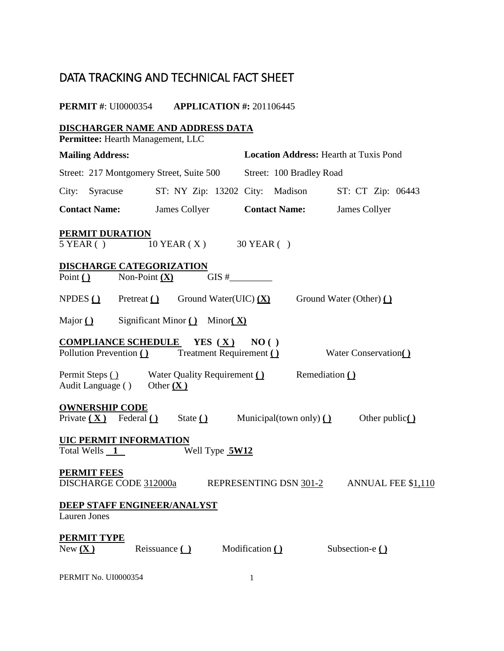# DATA TRACKING AND TECHNICAL FACT SHEET

#### **PERMIT #: UI0000354 APPLICATION #: 201106445**

 $5$  YEAR ( ) Non-Point  $(X)$  $NPDES( )$ Major  $\bigcirc$ **COMPLIANCE SCHEDULE YES** (**X**) **NO** ( ) Pollution Prevention () Permit Steps () Audit Language ( ) Other (X) Private  $(X)$  Federal  $()$ Total Wells 1 DISCHARGE CODE 312000a New  $(X)$ **DISCHARGER NAME AND ADDRESS DATA Permittee:** Hearth Management, LLC **Mailing Address: Location Address:** Hearth at Tuxis Pond Street: 217 Montgomery Street, Suite 500 Street: 100 Bradley Road City: Syracuse ST: NY Zip: 13202 City: Madison ST: CT Zip: 06443 **Contact Name:** James Collyer **Contact Name:** James Collyer **PERMIT DURATION**  10 YEAR ( X ) 30 YEAR ( ) **DISCHARGE CATEGORIZATION** Point ( )  $\qquad \text{Non-Point } (\mathbf{X}) \qquad \qquad \text{GIS } \#$ Pretreat **( )** Ground Water(UIC) **(X)** Ground Water (Other) **()** Major **( )** Significant Minor **( )** Minor**( X) Preatment Requirement ( )** Water Conservation ( ) Water Quality Requirement ( ) Remediation ( ) Other  $(X)$ **OWNERSHIP CODE**  $State \n\underline{\textcircled{\textcirc}}$  **Municipal(town only)**  $\underline{\textcircled{\textcirc}}$  Other public **UIC PERMIT INFORMATION**  Well Type  $5W12$ **PERMIT FEES**  REPRESENTING DSN  $301-2$  ANNUAL FEE \$1,110 **DEEP STAFF ENGINEER/ANALYST**  Lauren Jones **PERMIT TYPE** Reissuance **( )** Modification **( )** Subsection-e **( )**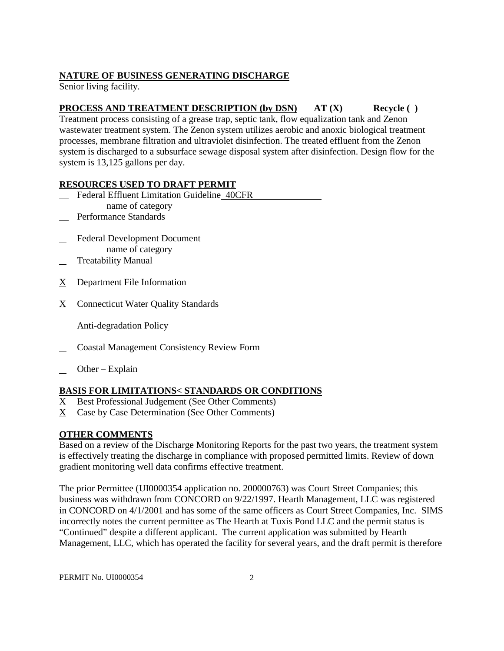## **NATURE OF BUSINESS GENERATING DISCHARGE**

Senior living facility.

## **PROCESS AND TREATMENT DESCRIPTION (by DSN)** AT (X) Recycle ( )

 wastewater treatment system. The Zenon system utilizes aerobic and anoxic biological treatment system is discharged to a subsurface sewage disposal system after disinfection. Design flow for the Treatment process consisting of a grease trap, septic tank, flow equalization tank and Zenon processes, membrane filtration and ultraviolet disinfection. The treated effluent from the Zenon system is 13,125 gallons per day.

## **RESOURCES USED TO DRAFT PERMIT**

- \_\_ Federal Effluent Limitation Guideline 40CFR name of category
- Performance Standards
- $\overline{\phantom{0}}$ Federal Development Document name of category
- l Treatability Manual
- X Department File Information
- X Connecticut Water Quality Standards
- $\overline{\phantom{0}}$ Anti-degradation Policy
- l Coastal Management Consistency Review Form
- $\overline{\phantom{0}}$ Other – Explain

## **BASIS FOR LIMITATIONS< STANDARDS OR CONDITIONS**

- X Best Professional Judgement (See Other Comments)
- X Case by Case Determination (See Other Comments)

## **OTHER COMMENTS**

 gradient monitoring well data confirms effective treatment. Based on a review of the Discharge Monitoring Reports for the past two years, the treatment system is effectively treating the discharge in compliance with proposed permitted limits. Review of down

 The prior Permittee (UI0000354 application no. 200000763) was Court Street Companies; this business was withdrawn from CONCORD on 9/22/1997. Hearth Management, LLC was registered "Continued" despite a different applicant. The current application was submitted by Hearth in CONCORD on 4/1/2001 and has some of the same officers as Court Street Companies, Inc. SIMS incorrectly notes the current permittee as The Hearth at Tuxis Pond LLC and the permit status is Management, LLC, which has operated the facility for several years, and the draft permit is therefore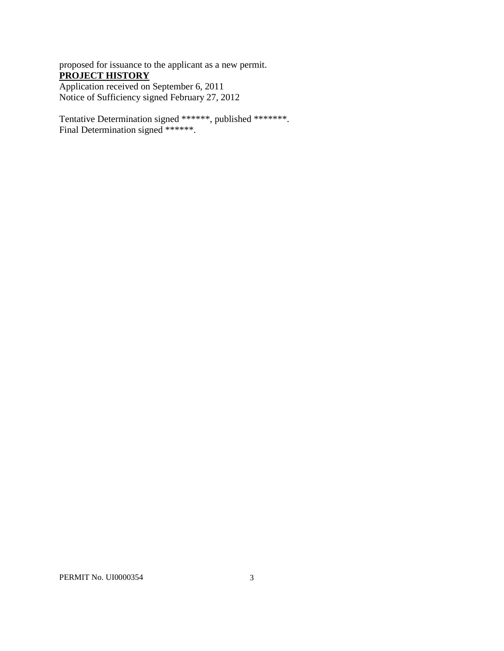proposed for issuance to the applicant as a new permit. **PROJECT HISTORY**  Application received on September 6, 2011 Notice of Sufficiency signed February 27, 2012

Tentative Determination signed \*\*\*\*\*\*, published \*\*\*\*\*\*\*. Final Determination signed \*\*\*\*\*\*.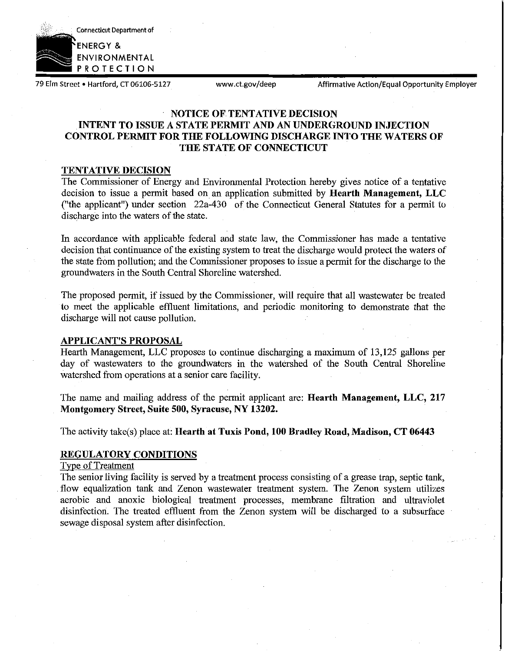

79 Elm Street . Hartford, CT 06106-5127

www.ct.gov/deep Affirmative Action/Equal Opportunity Employer

## **NOTICE OF TENTATIVE DECISION INTENT TO ISSUE A STATE PERMIT AND AN UNDERGROUND INJECTION CONTROL PERMIT FOR THE FOLLOWING DISCHARGE INTO THE WATERS OF THE STATE OF CONNECTICUT**

## **TENTATIVE DECISION**

The Commissioner of Energy and Environmental Protection hereby gives notice of a tentative decision to issue a permit based on an application submitted by **Hearth Management, LLC**  ("the applicant") under section 22a-430 of the Connecticut General Statutes for a permit to discharge into the waters of the state.

In accordance with applicable federal and state law, the Commissioner has made a tentative decision that continuance of the existing system to treat the discharge would protect the waters of the state from pollution; and the Commissioner proposes to issue a permit for the discharge to the groundwaters in the South Central Shoreline watershed.

The proposed permit, if issued by the Commissioner, will require that all wastewater be treated to meet the applicable effluent limitations, and periodic monitoring to demonstrate that the discharge will not cause pollution.

## **APPLICANT'S PROPOSAL**

Hearth Management, LLC proposes to continue discharging a maximum of 13,125 gallons per day of wastewaters to the groundwaters in the watershed of the South Central Shoreline watershed from operations at a senior care facility.

The name and mailing address of the permit applicant are: **Hearth Management, LLC, 217 Montgomery Street, Suite 500, Syracuse, NY 13202.** 

The activity take(s) place at: **Hearth at Tuxis Pond, 100 Bradley Road, Madison, CT 06443** 

## **REGULATORY CONDITIONS**

## Type of Treatment

The senior living facility is served by a treatment process consisting of a grease trap, septic tank, flow equalization tank and Zenon wastewater treatment system. The Zenon system utilizes aerobic and anoxic biological treatment processes, membrane filtration and ultraviolet disinfection. The treated effluent from the Zenon system will be discharged to a subsurface sewage disposal system after disinfection.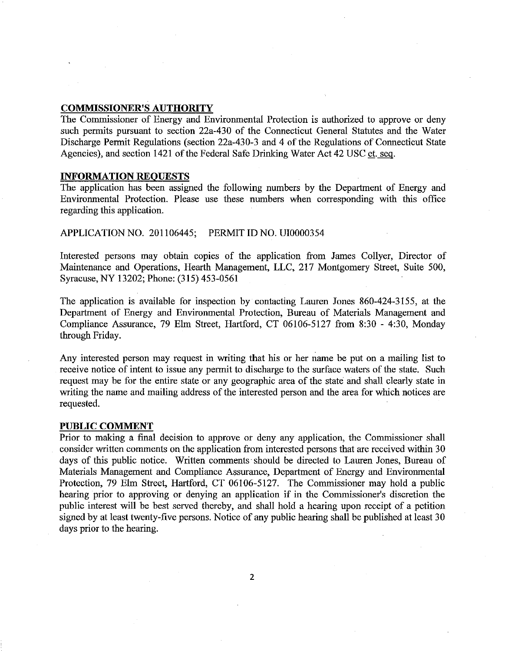## **COMMISSIONER'S AUTHORITY**

The Commissioner of Energy and Environmental Protection is authorized to approve or deny such permits pursuant to section 22a-430 of the Connecticut General Statutes and the Water Discharge Permit Regulations (section 22a-430-3 and 4 of the Regulations of Connecticut State Agencies), and section 1421 of the Federal Safe Drinking Water Act 42 USC et. seq.

## **INFORMATION REQUESTS**

The application has been assigned the following numbers by the Department of Energy and Environmental Protection. Please use these numbers when corresponding with this office regarding this application.

## APPLICATIONNO. 201106445; PERMIT ID NO. UI0000354

Interested persons may obtain copies of the application from James Collyer, Director of Maintenance and Operations, Hearth Management, LLC, 217 Montgomery Street, Suite 500, Syracuse, NY 13202; Phone: (315) 453-0561

The application is available for inspection by contacting Lauren Jones 860-424-3155, at the Department of Energy and Environmental Protection, Bureau of Materials Management and Compliance Assurance, 79 Elm Street, Hartford, CT 06106-5127 from 8:30 - 4:30, Monday through Friday.

Any interested person may request in writing that his or her name be put on a mailing list to receive notice of intent to issue any permit to discharge to the surface waters of the state. Such request may be for the entire state or any geographic area of the state and shall clearly state in writing the name and mailing address of the interested person and the area for which notices are requested.

#### **PUBLIC COMMENT**

Prior to making a final decision to approve or deny any application, the Commissioner shall consider written comments on the application from interested persons that are received within 30 days of this public notice. Written comments should be directed to Lauren Jones, Bureau of Materials Management and Compliance Assurance, Department of Energy and Environmental Protection, 79 Elm Street, Hartford, CT 06106-5127. The Commissioner may hold a public hearing prior to approving or denying an application if in the Commissioner's discretion the public interest will be best served thereby, and shall hold a hearing upon receipt of a petition signed by at least twenty-five persons. Notice of any public hearing shall be published at least 30 days prior to the hearing.